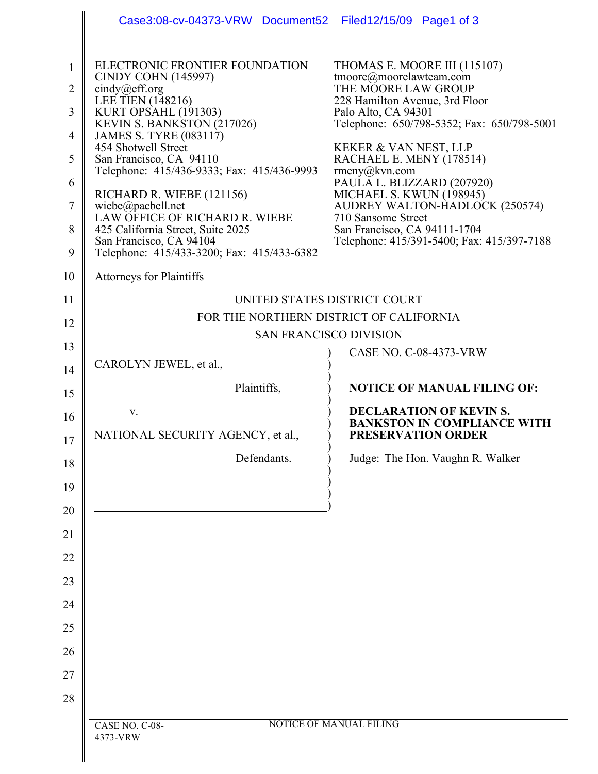|                                                                            | Case3:08-cv-04373-VRW Document52                                                                                                                                                                                                                                                                                                                                                                                                                                                                   | Filed12/15/09 Page1 of 3                                                                                                                                                                                                                                                                                                                                                                                                                                          |
|----------------------------------------------------------------------------|----------------------------------------------------------------------------------------------------------------------------------------------------------------------------------------------------------------------------------------------------------------------------------------------------------------------------------------------------------------------------------------------------------------------------------------------------------------------------------------------------|-------------------------------------------------------------------------------------------------------------------------------------------------------------------------------------------------------------------------------------------------------------------------------------------------------------------------------------------------------------------------------------------------------------------------------------------------------------------|
| $\mathbf{1}$<br>2<br>3<br>4<br>5<br>6<br>7<br>8<br>9                       | ELECTRONIC FRONTIER FOUNDATION<br><b>CINDY COHN (145997)</b><br>cindy@eff.org<br><b>LEE TIEN</b> (148216)<br>KURT OPSAHL (191303)<br>KEVIN S. BANKSTON (217026)<br><b>JAMES S. TYRE (083117)</b><br>454 Shotwell Street<br>San Francisco, CA 94110<br>Telephone: 415/436-9333; Fax: 415/436-9993<br>RICHARD R. WIEBE (121156)<br>wiebe@pacbell.net<br>LAW OFFICE OF RICHARD R. WIEBE<br>425 California Street, Suite 2025<br>San Francisco, CA 94104<br>Telephone: 415/433-3200; Fax: 415/433-6382 | THOMAS E. MOORE III (115107)<br>tmoore@moorelawteam.com<br>THE MOORE LAW GROUP<br>228 Hamilton Avenue, 3rd Floor<br>Palo Alto, CA 94301<br>Telephone: 650/798-5352; Fax: 650/798-5001<br>KEKER & VAN NEST, LLP<br>RACHAEL E. MENY (178514)<br>$r$ meny $@kvn.com$<br>PAULA L. BLIZZARD (207920)<br>MICHAEL S. KWUN (198945)<br>AUDREY WALTON-HADLOCK (250574)<br>710 Sansome Street<br>San Francisco, CA 94111-1704<br>Telephone: 415/391-5400; Fax: 415/397-7188 |
| 10                                                                         | <b>Attorneys for Plaintiffs</b>                                                                                                                                                                                                                                                                                                                                                                                                                                                                    |                                                                                                                                                                                                                                                                                                                                                                                                                                                                   |
| 11<br>12<br>13<br>14<br>15<br>16<br>17<br>18<br>19<br>20<br>21<br>22<br>23 | CAROLYN JEWEL, et al.,<br>Plaintiffs,<br>V.<br>NATIONAL SECURITY AGENCY, et al.,<br>Defendants.                                                                                                                                                                                                                                                                                                                                                                                                    | UNITED STATES DISTRICT COURT<br>FOR THE NORTHERN DISTRICT OF CALIFORNIA<br><b>SAN FRANCISCO DIVISION</b><br><b>CASE NO. C-08-4373-VRW</b><br><b>NOTICE OF MANUAL FILING OF:</b><br><b>DECLARATION OF KEVIN S.</b><br><b>BANKSTON IN COMPLIANCE WITH</b><br><b>PRESERVATION ORDER</b><br>Judge: The Hon. Vaughn R. Walker                                                                                                                                          |
| 24                                                                         |                                                                                                                                                                                                                                                                                                                                                                                                                                                                                                    |                                                                                                                                                                                                                                                                                                                                                                                                                                                                   |
| 25                                                                         |                                                                                                                                                                                                                                                                                                                                                                                                                                                                                                    |                                                                                                                                                                                                                                                                                                                                                                                                                                                                   |
| 26                                                                         |                                                                                                                                                                                                                                                                                                                                                                                                                                                                                                    |                                                                                                                                                                                                                                                                                                                                                                                                                                                                   |
| 27                                                                         |                                                                                                                                                                                                                                                                                                                                                                                                                                                                                                    |                                                                                                                                                                                                                                                                                                                                                                                                                                                                   |
| 28                                                                         |                                                                                                                                                                                                                                                                                                                                                                                                                                                                                                    |                                                                                                                                                                                                                                                                                                                                                                                                                                                                   |
|                                                                            | CASE NO. C-08-<br>4373-VRW                                                                                                                                                                                                                                                                                                                                                                                                                                                                         | <b>NOTICE OF MANUAL FILING</b>                                                                                                                                                                                                                                                                                                                                                                                                                                    |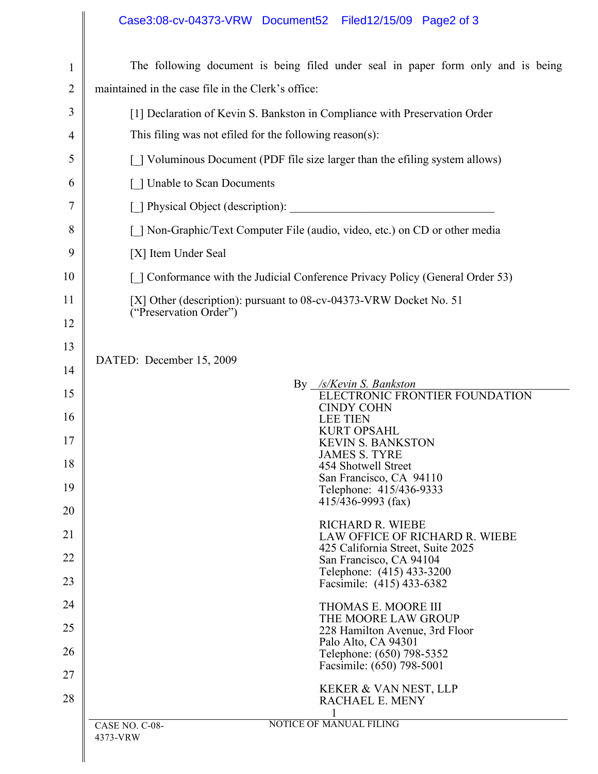## Case3:08-cv-04373-VRW Document52 Filed12/15/09 Page2 of 3

| $\mathbf{1}$   | The following document is being filed under seal in paper form only and is being |  |  |
|----------------|----------------------------------------------------------------------------------|--|--|
| $\overline{2}$ | maintained in the case file in the Clerk's office:                               |  |  |
| 3              | [1] Declaration of Kevin S. Bankston in Compliance with Preservation Order       |  |  |
| 4              | This filing was not effled for the following reason(s):                          |  |  |
| 5              | [] Voluminous Document (PDF file size larger than the efiling system allows)     |  |  |
| 6              | [ ] Unable to Scan Documents                                                     |  |  |
| 7              | [ ] Physical Object (description):                                               |  |  |
| 8              | [ ] Non-Graphic/Text Computer File (audio, video, etc.) on CD or other media     |  |  |
| 9              | [X] Item Under Seal                                                              |  |  |
| 10             | [ ] Conformance with the Judicial Conference Privacy Policy (General Order 53)   |  |  |
| 11             | [X] Other (description): pursuant to 08-cv-04373-VRW Docket No. 51               |  |  |
| 12             | ("Preservation Order")                                                           |  |  |
| 13             |                                                                                  |  |  |
| 14             | DATED: December 15, 2009                                                         |  |  |
| 15             | $By \frac{1}{S/K}evin S. BankstonELECTRONIC FRONTIER FOUNDATION$                 |  |  |
| 16             | <b>CINDY COHN</b><br><b>LEE TIEN</b><br><b>KURT OPSAHL</b>                       |  |  |
| 17             | <b>KEVIN S. BANKSTON</b><br><b>JAMES S. TYRE</b>                                 |  |  |
| 18             | 454 Shotwell Street<br>San Francisco, CA 94110                                   |  |  |
| 19             | Telephone: 415/436-9333<br>$415/436 - 9993$ (fax)                                |  |  |
| 20             | <b>RICHARD R. WIEBE</b>                                                          |  |  |
| 21             | LAW OFFICE OF RICHARD R. WIEBE<br>425 California Street, Suite 2025              |  |  |
| 22             | San Francisco, CA 94104<br>Telephone: (415) 433-3200                             |  |  |
| 23             | Facsimile: (415) 433-6382                                                        |  |  |
| 24             | THOMAS E. MOORE III<br>THE MOORE LAW GROUP                                       |  |  |
| 25             | 228 Hamilton Avenue, 3rd Floor<br>Palo Alto, CA 94301                            |  |  |
| 26             | Telephone: (650) 798-5352<br>Facsimile: (650) 798-5001                           |  |  |
| 27             | KEKER & VAN NEST, LLP                                                            |  |  |
| 28             | RACHAEL E. MENY                                                                  |  |  |
|                | <b>NOTICE OF MANUAL FILING</b><br>CASE NO. C-08-                                 |  |  |
|                | 4373-VRW                                                                         |  |  |
|                |                                                                                  |  |  |